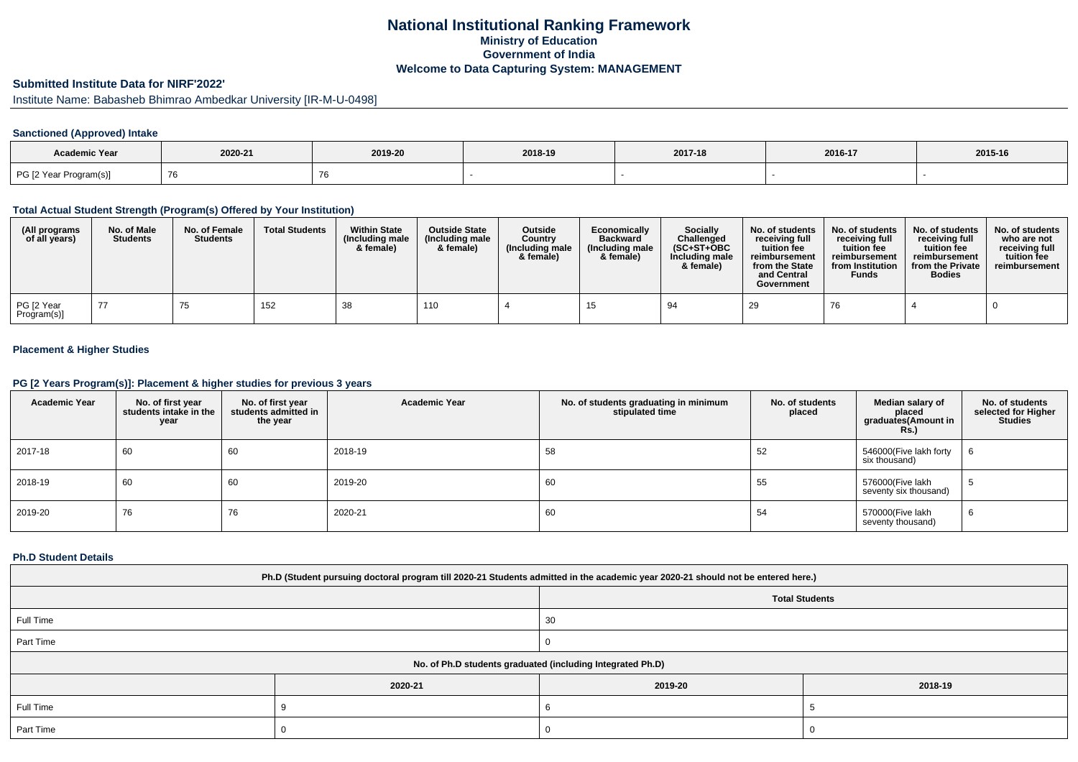## **National Institutional Ranking FrameworkMinistry of Education Government of IndiaWelcome to Data Capturing System: MANAGEMENT**

## **Submitted Institute Data for NIRF'2022'**

Institute Name: Babasheb Bhimrao Ambedkar University [IR-M-U-0498]

### **Sanctioned (Approved) Intake**

| Academic Year          |         |            |         |         |         |         |
|------------------------|---------|------------|---------|---------|---------|---------|
|                        | 2020-21 | 2019-20    | 2018-19 | 2017-18 | 2016-17 | 2015-16 |
| PG [2 Year Program(s)] |         | $\sqrt{2}$ |         |         |         |         |

#### **Total Actual Student Strength (Program(s) Offered by Your Institution)**

| (All programs<br>of all years) | No. of Male<br><b>Students</b> | No. of Female<br><b>Students</b> | <b>Total Students</b> | <b>Within State</b><br>(Including male<br>& female) | <b>Outside State</b><br>(Including male<br>& female) | <b>Outside</b><br>Country<br>(Including male<br>& female) | Economically<br><b>Backward</b><br>(Including male<br>& female) | <b>Socially</b><br>Challenged<br>$(SC+ST+OBC)$<br>Including male<br>& female) | No. of students<br>receivina full<br>tuition fee<br>reimbursement<br>from the State<br>and Central<br>Government | No. of students<br>receiving full<br>tuition fee<br>reimbursement<br>from Institution<br><b>Funds</b> | No. of students<br>receiving full<br>tuition fee<br>reimbursement<br>from the Private<br><b>Bodies</b> | No. of students<br>who are not<br>receiving full<br>tuition fee<br>reimbursement |
|--------------------------------|--------------------------------|----------------------------------|-----------------------|-----------------------------------------------------|------------------------------------------------------|-----------------------------------------------------------|-----------------------------------------------------------------|-------------------------------------------------------------------------------|------------------------------------------------------------------------------------------------------------------|-------------------------------------------------------------------------------------------------------|--------------------------------------------------------------------------------------------------------|----------------------------------------------------------------------------------|
| PG [2 Year<br>Program(s)]      |                                | 75                               | 152                   | 38                                                  | 110                                                  |                                                           |                                                                 | 94                                                                            | 29                                                                                                               | 76                                                                                                    |                                                                                                        |                                                                                  |

### **Placement & Higher Studies**

#### **PG [2 Years Program(s)]: Placement & higher studies for previous 3 years**

| <b>Academic Year</b> | No. of first year<br>students intake in the<br>year | No. of first year<br>students admitted in<br>the year | <b>Academic Year</b> | No. of students graduating in minimum<br>stipulated time | No. of students<br>placed | Median salary of<br>placed<br>graduates(Amount in<br><b>Rs.)</b> | No. of students<br>selected for Higher<br><b>Studies</b> |
|----------------------|-----------------------------------------------------|-------------------------------------------------------|----------------------|----------------------------------------------------------|---------------------------|------------------------------------------------------------------|----------------------------------------------------------|
| 2017-18              | 60                                                  | 60                                                    | 2018-19              | 58                                                       | 52                        | 546000(Five lakh forty<br>six thousand)                          | 6                                                        |
| 2018-19              | 60                                                  | 60                                                    | 2019-20              | 60                                                       | 55                        | 576000(Five lakh<br>seventy six thousand)                        | G                                                        |
| 2019-20              | 76                                                  | 76                                                    | 2020-21              | 60                                                       | 54                        | 570000(Five lakh<br>seventy thousand)                            | 6                                                        |

#### **Ph.D Student Details**

| Ph.D (Student pursuing doctoral program till 2020-21 Students admitted in the academic year 2020-21 should not be entered here.) |         |                                                            |         |  |  |  |  |  |
|----------------------------------------------------------------------------------------------------------------------------------|---------|------------------------------------------------------------|---------|--|--|--|--|--|
| <b>Total Students</b>                                                                                                            |         |                                                            |         |  |  |  |  |  |
| Full Time<br>30                                                                                                                  |         |                                                            |         |  |  |  |  |  |
| Part Time                                                                                                                        |         |                                                            |         |  |  |  |  |  |
|                                                                                                                                  |         | No. of Ph.D students graduated (including Integrated Ph.D) |         |  |  |  |  |  |
|                                                                                                                                  | 2020-21 | 2019-20                                                    | 2018-19 |  |  |  |  |  |
| Full Time                                                                                                                        |         |                                                            |         |  |  |  |  |  |
| Part Time                                                                                                                        |         |                                                            |         |  |  |  |  |  |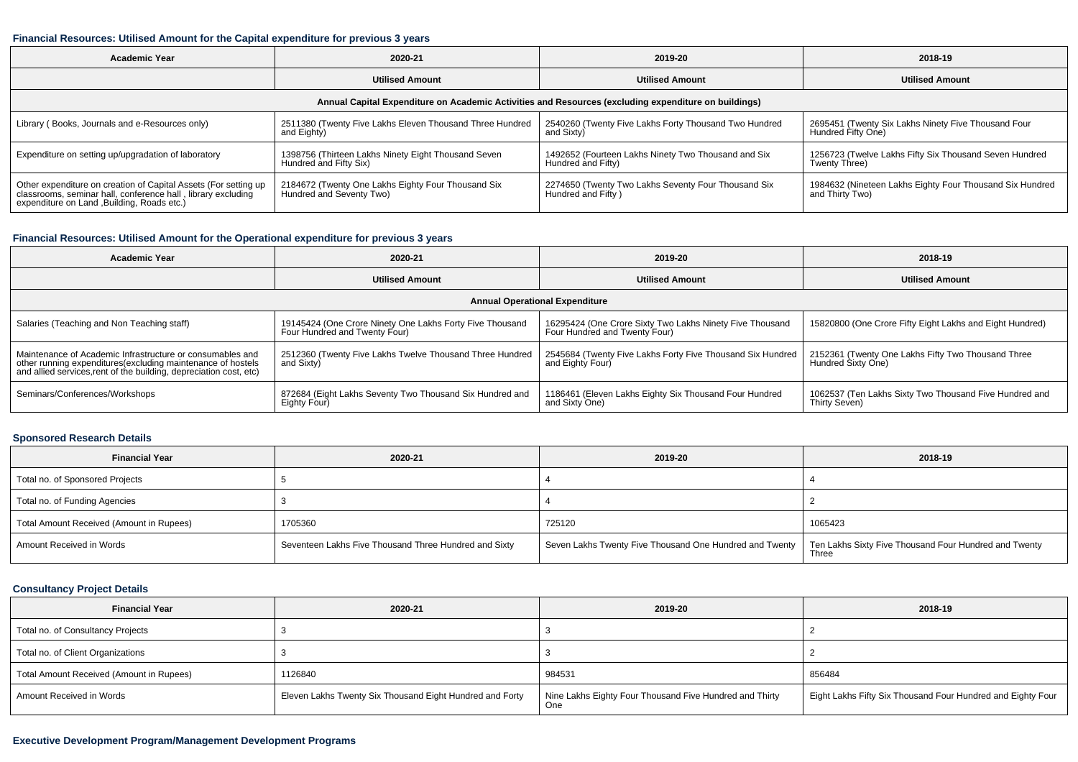#### **Financial Resources: Utilised Amount for the Capital expenditure for previous 3 years**

| Academic Year                                                                                                                                                                  | 2020-21                                                                        | 2019-20                                                                   | 2018-19                                                                     |  |  |  |  |
|--------------------------------------------------------------------------------------------------------------------------------------------------------------------------------|--------------------------------------------------------------------------------|---------------------------------------------------------------------------|-----------------------------------------------------------------------------|--|--|--|--|
|                                                                                                                                                                                | <b>Utilised Amount</b>                                                         | <b>Utilised Amount</b>                                                    | <b>Utilised Amount</b>                                                      |  |  |  |  |
| Annual Capital Expenditure on Academic Activities and Resources (excluding expenditure on buildings)                                                                           |                                                                                |                                                                           |                                                                             |  |  |  |  |
| Library (Books, Journals and e-Resources only)                                                                                                                                 | 2511380 (Twenty Five Lakhs Eleven Thousand Three Hundred<br>and Eighty)        | 2540260 (Twenty Five Lakhs Forty Thousand Two Hundred<br>and Sixty)       | 2695451 (Twenty Six Lakhs Ninety Five Thousand Four<br>Hundred Fifty One)   |  |  |  |  |
| Expenditure on setting up/upgradation of laboratory                                                                                                                            | 1398756 (Thirteen Lakhs Ninety Eight Thousand Seven<br>Hundred and Fifty Six)  | 1492652 (Fourteen Lakhs Ninety Two Thousand and Six<br>Hundred and Fifty) | 1256723 (Twelve Lakhs Fifty Six Thousand Seven Hundred<br>Twenty Three)     |  |  |  |  |
| Other expenditure on creation of Capital Assets (For setting up<br>classrooms, seminar hall, conference hall, library excluding<br>expenditure on Land , Building, Roads etc.) | 2184672 (Twenty One Lakhs Eighty Four Thousand Six<br>Hundred and Seventy Two) | 2274650 (Twenty Two Lakhs Seventy Four Thousand Six<br>Hundred and Fifty) | 1984632 (Nineteen Lakhs Eighty Four Thousand Six Hundred<br>and Thirty Two) |  |  |  |  |

### **Financial Resources: Utilised Amount for the Operational expenditure for previous 3 years**

| Academic Year                                                                                                                                                                                  | 2020-21                                                                                   | 2019-20                                                                                   | 2018-19                                                                  |  |  |  |  |
|------------------------------------------------------------------------------------------------------------------------------------------------------------------------------------------------|-------------------------------------------------------------------------------------------|-------------------------------------------------------------------------------------------|--------------------------------------------------------------------------|--|--|--|--|
|                                                                                                                                                                                                | <b>Utilised Amount</b>                                                                    | <b>Utilised Amount</b>                                                                    | <b>Utilised Amount</b>                                                   |  |  |  |  |
| <b>Annual Operational Expenditure</b>                                                                                                                                                          |                                                                                           |                                                                                           |                                                                          |  |  |  |  |
| Salaries (Teaching and Non Teaching staff)                                                                                                                                                     | 19145424 (One Crore Ninety One Lakhs Forty Five Thousand<br>Four Hundred and Twenty Four) | 16295424 (One Crore Sixty Two Lakhs Ninety Five Thousand<br>Four Hundred and Twenty Four) | 15820800 (One Crore Fifty Eight Lakhs and Eight Hundred)                 |  |  |  |  |
| Maintenance of Academic Infrastructure or consumables and<br>other running expenditures(excluding maintenance of hostels<br>and allied services, rent of the building, depreciation cost, etc) | 2512360 (Twenty Five Lakhs Twelve Thousand Three Hundred<br>and Sixty)                    | 2545684 (Twenty Five Lakhs Forty Five Thousand Six Hundred<br>and Eighty Four)            | 2152361 (Twenty One Lakhs Fifty Two Thousand Three<br>Hundred Sixty One) |  |  |  |  |
| Seminars/Conferences/Workshops                                                                                                                                                                 | 872684 (Eight Lakhs Seventy Two Thousand Six Hundred and<br>Eighty Four)                  | 1186461 (Eleven Lakhs Eighty Six Thousand Four Hundred<br>and Sixty One)                  | 1062537 (Ten Lakhs Sixty Two Thousand Five Hundred and<br>Thirty Seven)  |  |  |  |  |

# **Sponsored Research Details**

| <b>Financial Year</b>                    | 2020-21                                               | 2019-20                                                 | 2018-19                                                        |
|------------------------------------------|-------------------------------------------------------|---------------------------------------------------------|----------------------------------------------------------------|
| Total no. of Sponsored Projects          |                                                       |                                                         |                                                                |
| Total no. of Funding Agencies            |                                                       |                                                         |                                                                |
| Total Amount Received (Amount in Rupees) | 1705360                                               | 725120                                                  | 1065423                                                        |
| Amount Received in Words                 | Seventeen Lakhs Five Thousand Three Hundred and Sixty | Seven Lakhs Twenty Five Thousand One Hundred and Twenty | Ten Lakhs Sixty Five Thousand Four Hundred and Twenty<br>Three |

### **Consultancy Project Details**

| <b>Financial Year</b>                    | 2020-21                                                  | 2019-20                                                        | 2018-19                                                     |
|------------------------------------------|----------------------------------------------------------|----------------------------------------------------------------|-------------------------------------------------------------|
| Total no. of Consultancy Projects        |                                                          |                                                                |                                                             |
| Total no. of Client Organizations        |                                                          |                                                                |                                                             |
| Total Amount Received (Amount in Rupees) | 1126840                                                  | 984531                                                         | 856484                                                      |
| Amount Received in Words                 | Eleven Lakhs Twenty Six Thousand Eight Hundred and Forty | Nine Lakhs Eighty Four Thousand Five Hundred and Thirty<br>One | Eight Lakhs Fifty Six Thousand Four Hundred and Eighty Four |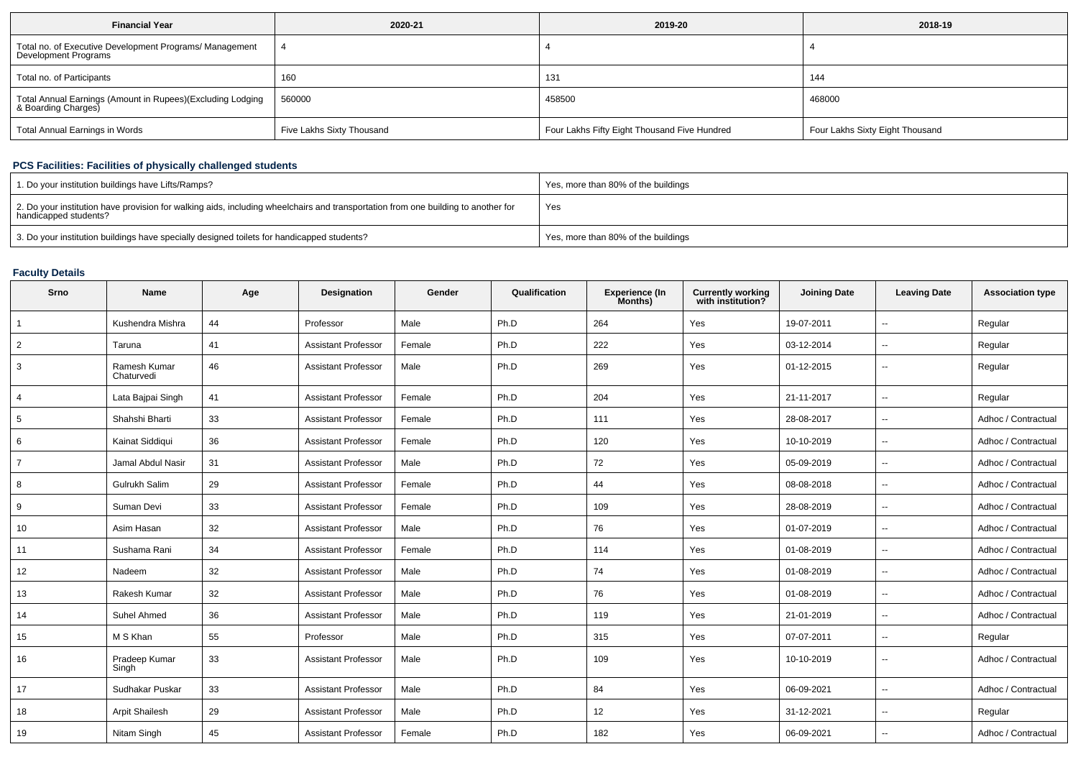| <b>Financial Year</b>                                                             | 2020-21                   | 2019-20                                      | 2018-19                         |
|-----------------------------------------------------------------------------------|---------------------------|----------------------------------------------|---------------------------------|
| Total no. of Executive Development Programs/ Management<br>Development Programs   |                           |                                              |                                 |
| Total no. of Participants                                                         | 160                       | 131                                          | 144                             |
| Total Annual Earnings (Amount in Rupees)(Excluding Lodging<br>& Boarding Charges) | 560000                    | 458500                                       | 468000                          |
| Total Annual Earnings in Words                                                    | Five Lakhs Sixty Thousand | Four Lakhs Fifty Eight Thousand Five Hundred | Four Lakhs Sixty Eight Thousand |

## **PCS Facilities: Facilities of physically challenged students**

| 1. Do your institution buildings have Lifts/Ramps?                                                                                                         | Yes, more than 80% of the buildings |
|------------------------------------------------------------------------------------------------------------------------------------------------------------|-------------------------------------|
| 2. Do your institution have provision for walking aids, including wheelchairs and transportation from one building to another for<br>handicapped students? | Yes                                 |
| 3. Do your institution buildings have specially designed toilets for handicapped students?                                                                 | Yes, more than 80% of the buildings |

# **Faculty Details**

| Srno           | <b>Name</b>                | Age | <b>Designation</b>         | Gender | Qualification | <b>Experience (In</b><br>Months) | <b>Currently working</b><br>with institution? | <b>Joining Date</b> | <b>Leaving Date</b>      | <b>Association type</b> |
|----------------|----------------------------|-----|----------------------------|--------|---------------|----------------------------------|-----------------------------------------------|---------------------|--------------------------|-------------------------|
| $\overline{1}$ | Kushendra Mishra           | 44  | Professor                  | Male   | Ph.D          | 264                              | Yes                                           | 19-07-2011          | $\overline{\phantom{a}}$ | Regular                 |
| $\overline{2}$ | Taruna                     | 41  | <b>Assistant Professor</b> | Female | Ph.D          | 222                              | Yes                                           | 03-12-2014          | $\sim$                   | Regular                 |
| 3              | Ramesh Kumar<br>Chaturvedi | 46  | <b>Assistant Professor</b> | Male   | Ph.D          | 269                              | Yes                                           | 01-12-2015          | $\sim$                   | Regular                 |
| 4              | Lata Baipai Singh          | 41  | <b>Assistant Professor</b> | Female | Ph.D          | 204                              | Yes                                           | 21-11-2017          | $\sim$                   | Regular                 |
| 5              | Shahshi Bharti             | 33  | <b>Assistant Professor</b> | Female | Ph.D          | 111                              | Yes                                           | 28-08-2017          | $\sim$                   | Adhoc / Contractual     |
| 6              | Kainat Siddiqui            | 36  | <b>Assistant Professor</b> | Female | Ph.D          | 120                              | Yes                                           | 10-10-2019          | $\sim$                   | Adhoc / Contractual     |
| $\overline{7}$ | Jamal Abdul Nasir          | 31  | <b>Assistant Professor</b> | Male   | Ph.D          | 72                               | Yes                                           | 05-09-2019          | $\sim$                   | Adhoc / Contractual     |
| 8              | Gulrukh Salim              | 29  | <b>Assistant Professor</b> | Female | Ph.D          | 44                               | Yes                                           | 08-08-2018          | $\sim$                   | Adhoc / Contractual     |
| 9              | Suman Devi                 | 33  | <b>Assistant Professor</b> | Female | Ph.D          | 109                              | Yes                                           | 28-08-2019          | $\sim$                   | Adhoc / Contractual     |
| 10             | Asim Hasan                 | 32  | <b>Assistant Professor</b> | Male   | Ph.D          | 76                               | Yes                                           | 01-07-2019          | $\sim$                   | Adhoc / Contractual     |
| 11             | Sushama Rani               | 34  | <b>Assistant Professor</b> | Female | Ph.D          | 114                              | Yes                                           | 01-08-2019          | $\sim$                   | Adhoc / Contractual     |
| 12             | Nadeem                     | 32  | <b>Assistant Professor</b> | Male   | Ph.D          | 74                               | Yes                                           | 01-08-2019          | $\sim$                   | Adhoc / Contractual     |
| 13             | Rakesh Kumar               | 32  | <b>Assistant Professor</b> | Male   | Ph.D          | 76                               | Yes                                           | 01-08-2019          | $\sim$                   | Adhoc / Contractual     |
| 14             | Suhel Ahmed                | 36  | <b>Assistant Professor</b> | Male   | Ph.D          | 119                              | Yes                                           | 21-01-2019          | $\sim$                   | Adhoc / Contractual     |
| 15             | M S Khan                   | 55  | Professor                  | Male   | Ph.D          | 315                              | Yes                                           | 07-07-2011          | $\sim$                   | Regular                 |
| 16             | Pradeep Kumar<br>Singh     | 33  | Assistant Professor        | Male   | Ph.D          | 109                              | Yes                                           | 10-10-2019          | $\sim$                   | Adhoc / Contractual     |
| 17             | Sudhakar Puskar            | 33  | <b>Assistant Professor</b> | Male   | Ph.D          | 84                               | Yes                                           | 06-09-2021          | $\sim$                   | Adhoc / Contractual     |
| 18             | <b>Arpit Shailesh</b>      | 29  | <b>Assistant Professor</b> | Male   | Ph.D          | 12                               | Yes                                           | 31-12-2021          | $\sim$                   | Regular                 |
| 19             | Nitam Singh                | 45  | <b>Assistant Professor</b> | Female | Ph.D          | 182                              | Yes                                           | 06-09-2021          | $\sim$                   | Adhoc / Contractual     |